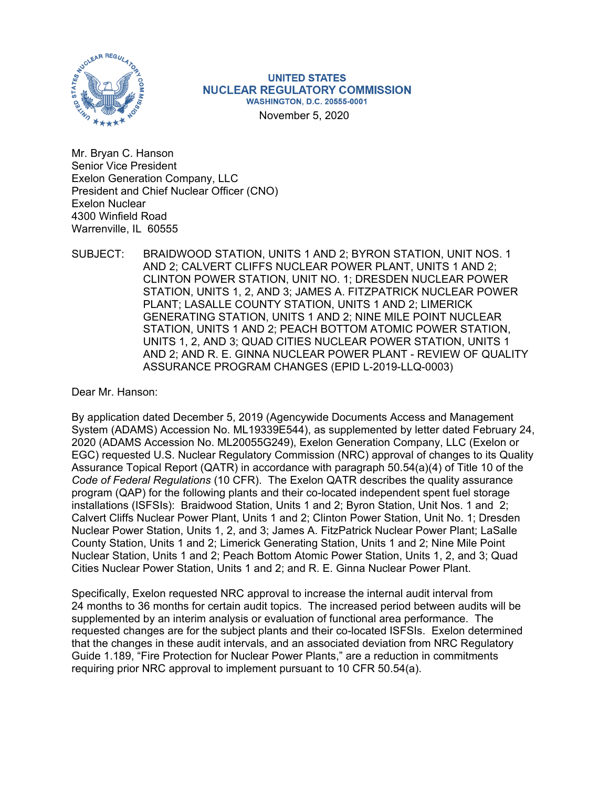

**UNITED STATES NUCLEAR REGULATORY COMMISSION WASHINGTON, D.C. 20555-0001** 

November 5, 2020

Mr. Bryan C. Hanson Senior Vice President Exelon Generation Company, LLC President and Chief Nuclear Officer (CNO) Exelon Nuclear 4300 Winfield Road Warrenville, IL 60555

SUBJECT: BRAIDWOOD STATION, UNITS 1 AND 2; BYRON STATION, UNIT NOS. 1 AND 2; CALVERT CLIFFS NUCLEAR POWER PLANT, UNITS 1 AND 2; CLINTON POWER STATION, UNIT NO. 1; DRESDEN NUCLEAR POWER STATION, UNITS 1, 2, AND 3; JAMES A. FITZPATRICK NUCLEAR POWER PLANT; LASALLE COUNTY STATION, UNITS 1 AND 2; LIMERICK GENERATING STATION, UNITS 1 AND 2; NINE MILE POINT NUCLEAR STATION, UNITS 1 AND 2; PEACH BOTTOM ATOMIC POWER STATION, UNITS 1, 2, AND 3; QUAD CITIES NUCLEAR POWER STATION, UNITS 1 AND 2; AND R. E. GINNA NUCLEAR POWER PLANT - REVIEW OF QUALITY ASSURANCE PROGRAM CHANGES (EPID L-2019-LLQ-0003)

Dear Mr. Hanson:

By application dated December 5, 2019 (Agencywide Documents Access and Management System (ADAMS) Accession No. ML19339E544), as supplemented by letter dated February 24, 2020 (ADAMS Accession No. ML20055G249), Exelon Generation Company, LLC (Exelon or EGC) requested U.S. Nuclear Regulatory Commission (NRC) approval of changes to its Quality Assurance Topical Report (QATR) in accordance with paragraph 50.54(a)(4) of Title 10 of the *Code of Federal Regulations* (10 CFR). The Exelon QATR describes the quality assurance program (QAP) for the following plants and their co-located independent spent fuel storage installations (ISFSIs): Braidwood Station, Units 1 and 2; Byron Station, Unit Nos. 1 and 2; Calvert Cliffs Nuclear Power Plant, Units 1 and 2; Clinton Power Station, Unit No. 1; Dresden Nuclear Power Station, Units 1, 2, and 3; James A. FitzPatrick Nuclear Power Plant; LaSalle County Station, Units 1 and 2; Limerick Generating Station, Units 1 and 2; Nine Mile Point Nuclear Station, Units 1 and 2; Peach Bottom Atomic Power Station, Units 1, 2, and 3; Quad Cities Nuclear Power Station, Units 1 and 2; and R. E. Ginna Nuclear Power Plant.

Specifically, Exelon requested NRC approval to increase the internal audit interval from 24 months to 36 months for certain audit topics. The increased period between audits will be supplemented by an interim analysis or evaluation of functional area performance. The requested changes are for the subject plants and their co-located ISFSIs. Exelon determined that the changes in these audit intervals, and an associated deviation from NRC Regulatory Guide 1.189, "Fire Protection for Nuclear Power Plants," are a reduction in commitments requiring prior NRC approval to implement pursuant to 10 CFR 50.54(a).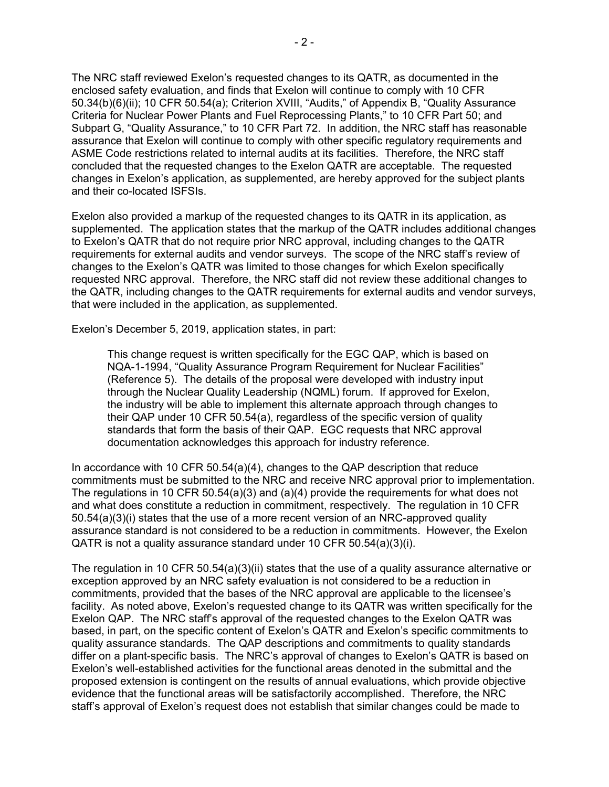The NRC staff reviewed Exelon's requested changes to its QATR, as documented in the enclosed safety evaluation, and finds that Exelon will continue to comply with 10 CFR 50.34(b)(6)(ii); 10 CFR 50.54(a); Criterion XVIII, "Audits," of Appendix B, "Quality Assurance Criteria for Nuclear Power Plants and Fuel Reprocessing Plants," to 10 CFR Part 50; and Subpart G, "Quality Assurance," to 10 CFR Part 72. In addition, the NRC staff has reasonable assurance that Exelon will continue to comply with other specific regulatory requirements and ASME Code restrictions related to internal audits at its facilities. Therefore, the NRC staff concluded that the requested changes to the Exelon QATR are acceptable. The requested changes in Exelon's application, as supplemented, are hereby approved for the subject plants and their co-located ISFSIs.

Exelon also provided a markup of the requested changes to its QATR in its application, as supplemented. The application states that the markup of the QATR includes additional changes to Exelon's QATR that do not require prior NRC approval, including changes to the QATR requirements for external audits and vendor surveys. The scope of the NRC staff's review of changes to the Exelon's QATR was limited to those changes for which Exelon specifically requested NRC approval. Therefore, the NRC staff did not review these additional changes to the QATR, including changes to the QATR requirements for external audits and vendor surveys, that were included in the application, as supplemented.

Exelon's December 5, 2019, application states, in part:

This change request is written specifically for the EGC QAP, which is based on NQA-1-1994, "Quality Assurance Program Requirement for Nuclear Facilities" (Reference 5). The details of the proposal were developed with industry input through the Nuclear Quality Leadership (NQML) forum. If approved for Exelon, the industry will be able to implement this alternate approach through changes to their QAP under 10 CFR 50.54(a), regardless of the specific version of quality standards that form the basis of their QAP. EGC requests that NRC approval documentation acknowledges this approach for industry reference.

In accordance with 10 CFR 50.54(a)(4), changes to the QAP description that reduce commitments must be submitted to the NRC and receive NRC approval prior to implementation. The regulations in 10 CFR 50.54(a)(3) and (a)(4) provide the requirements for what does not and what does constitute a reduction in commitment, respectively. The regulation in 10 CFR 50.54(a)(3)(i) states that the use of a more recent version of an NRC-approved quality assurance standard is not considered to be a reduction in commitments. However, the Exelon QATR is not a quality assurance standard under 10 CFR 50.54(a)(3)(i).

The regulation in 10 CFR 50.54(a)(3)(ii) states that the use of a quality assurance alternative or exception approved by an NRC safety evaluation is not considered to be a reduction in commitments, provided that the bases of the NRC approval are applicable to the licensee's facility. As noted above, Exelon's requested change to its QATR was written specifically for the Exelon QAP. The NRC staff's approval of the requested changes to the Exelon QATR was based, in part, on the specific content of Exelon's QATR and Exelon's specific commitments to quality assurance standards. The QAP descriptions and commitments to quality standards differ on a plant-specific basis. The NRC's approval of changes to Exelon's QATR is based on Exelon's well-established activities for the functional areas denoted in the submittal and the proposed extension is contingent on the results of annual evaluations, which provide objective evidence that the functional areas will be satisfactorily accomplished. Therefore, the NRC staff's approval of Exelon's request does not establish that similar changes could be made to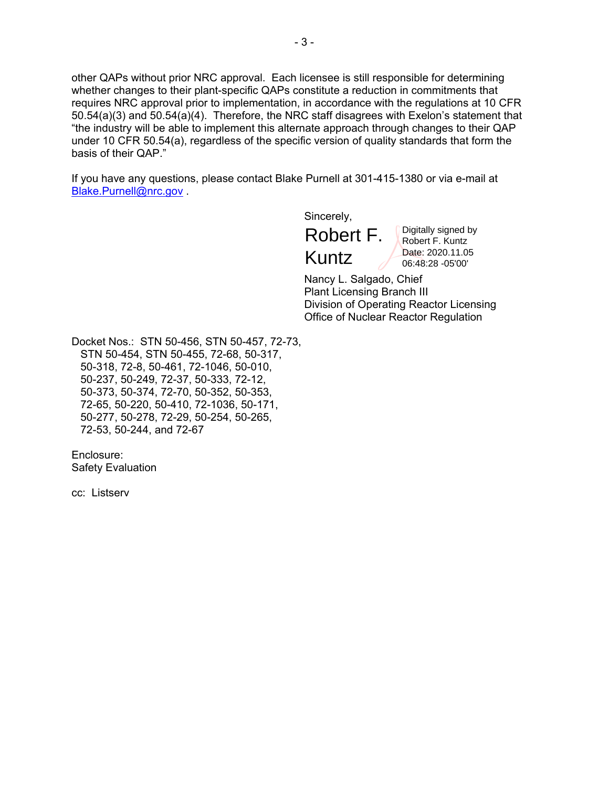other QAPs without prior NRC approval. Each licensee is still responsible for determining whether changes to their plant-specific QAPs constitute a reduction in commitments that requires NRC approval prior to implementation, in accordance with the regulations at 10 CFR 50.54(a)(3) and 50.54(a)(4). Therefore, the NRC staff disagrees with Exelon's statement that "the industry will be able to implement this alternate approach through changes to their QAP under 10 CFR 50.54(a), regardless of the specific version of quality standards that form the basis of their QAP."

If you have any questions, please contact Blake Purnell at 301-415-1380 or via e-mail at Blake.Purnell@nrc.gov .

Sincerely,

Robert F. Kuntz

Digitally signed by Robert F. Kuntz Date: 2020.11.05 06:48:28 -05'00'

Nancy L. Salgado, Chief Plant Licensing Branch III Division of Operating Reactor Licensing Office of Nuclear Reactor Regulation

Docket Nos.: STN 50-456, STN 50-457, 72-73, STN 50-454, STN 50-455, 72-68, 50-317, 50-318, 72-8, 50-461, 72-1046, 50-010, 50-237, 50-249, 72-37, 50-333, 72-12, 50-373, 50-374, 72-70, 50-352, 50-353, 72-65, 50-220, 50-410, 72-1036, 50-171, 50-277, 50-278, 72-29, 50-254, 50-265, 72-53, 50-244, and 72-67

Enclosure: Safety Evaluation

cc: Listserv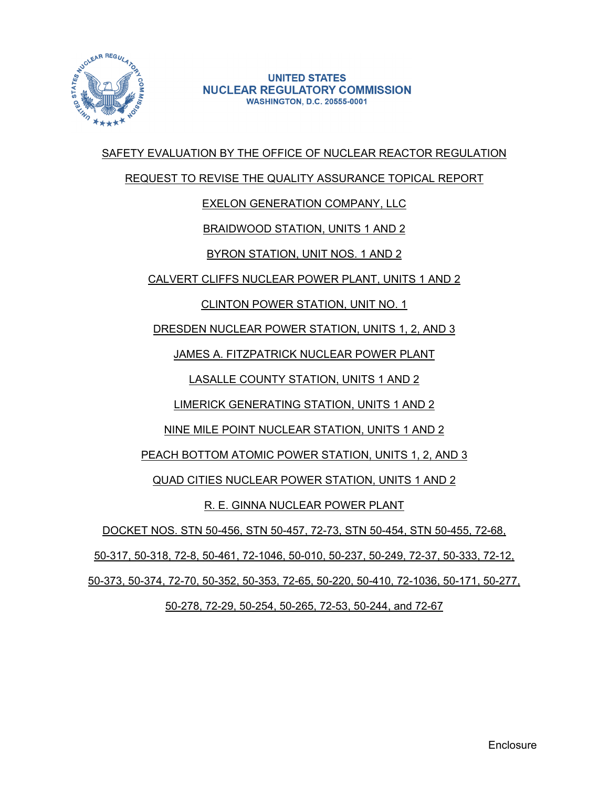

#### **UNITED STATES NUCLEAR REGULATORY COMMISSION WASHINGTON, D.C. 20555-0001**

## SAFETY EVALUATION BY THE OFFICE OF NUCLEAR REACTOR REGULATION

#### REQUEST TO REVISE THE QUALITY ASSURANCE TOPICAL REPORT

## EXELON GENERATION COMPANY, LLC

## BRAIDWOOD STATION, UNITS 1 AND 2

# BYRON STATION, UNIT NOS. 1 AND 2

## CALVERT CLIFFS NUCLEAR POWER PLANT, UNITS 1 AND 2

# CLINTON POWER STATION, UNIT NO. 1

## DRESDEN NUCLEAR POWER STATION, UNITS 1, 2, AND 3

# JAMES A. FITZPATRICK NUCLEAR POWER PLANT

# LASALLE COUNTY STATION, UNITS 1 AND 2

## LIMERICK GENERATING STATION, UNITS 1 AND 2

## NINE MILE POINT NUCLEAR STATION, UNITS 1 AND 2

## PEACH BOTTOM ATOMIC POWER STATION, UNITS 1, 2, AND 3

## QUAD CITIES NUCLEAR POWER STATION, UNITS 1 AND 2

## R. E. GINNA NUCLEAR POWER PLANT

## DOCKET NOS. STN 50-456, STN 50-457, 72-73, STN 50-454, STN 50-455, 72-68,

## 50-317, 50-318, 72-8, 50-461, 72-1046, 50-010, 50-237, 50-249, 72-37, 50-333, 72-12,

## 50-373, 50-374, 72-70, 50-352, 50-353, 72-65, 50-220, 50-410, 72-1036, 50-171, 50-277,

## 50-278, 72-29, 50-254, 50-265, 72-53, 50-244, and 72-67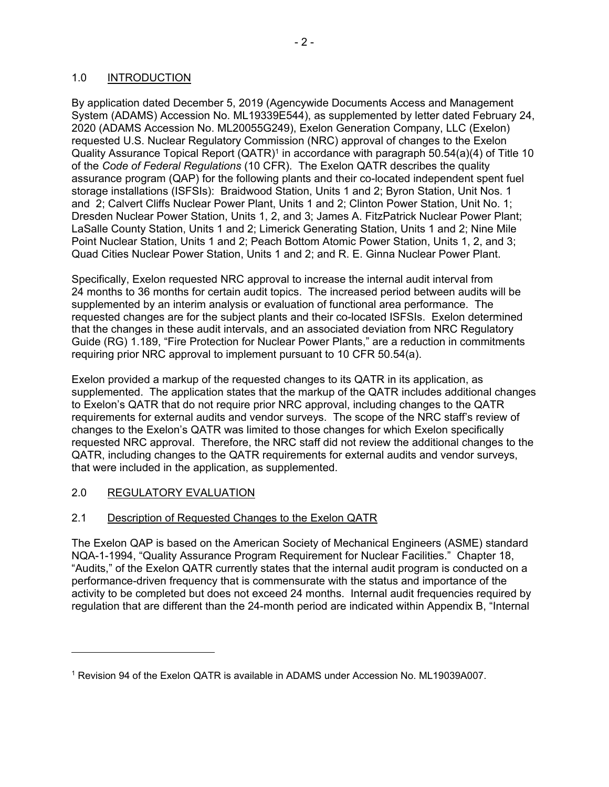#### 1.0 INTRODUCTION

By application dated December 5, 2019 (Agencywide Documents Access and Management System (ADAMS) Accession No. ML19339E544), as supplemented by letter dated February 24, 2020 (ADAMS Accession No. ML20055G249), Exelon Generation Company, LLC (Exelon) requested U.S. Nuclear Regulatory Commission (NRC) approval of changes to the Exelon Quality Assurance Topical Report (QATR)1 in accordance with paragraph 50.54(a)(4) of Title 10 of the *Code of Federal Regulations* (10 CFR). The Exelon QATR describes the quality assurance program (QAP) for the following plants and their co-located independent spent fuel storage installations (ISFSIs): Braidwood Station, Units 1 and 2; Byron Station, Unit Nos. 1 and 2; Calvert Cliffs Nuclear Power Plant, Units 1 and 2; Clinton Power Station, Unit No. 1; Dresden Nuclear Power Station, Units 1, 2, and 3; James A. FitzPatrick Nuclear Power Plant; LaSalle County Station, Units 1 and 2; Limerick Generating Station, Units 1 and 2; Nine Mile Point Nuclear Station, Units 1 and 2; Peach Bottom Atomic Power Station, Units 1, 2, and 3; Quad Cities Nuclear Power Station, Units 1 and 2; and R. E. Ginna Nuclear Power Plant.

Specifically, Exelon requested NRC approval to increase the internal audit interval from 24 months to 36 months for certain audit topics. The increased period between audits will be supplemented by an interim analysis or evaluation of functional area performance. The requested changes are for the subject plants and their co-located ISFSIs. Exelon determined that the changes in these audit intervals, and an associated deviation from NRC Regulatory Guide (RG) 1.189, "Fire Protection for Nuclear Power Plants," are a reduction in commitments requiring prior NRC approval to implement pursuant to 10 CFR 50.54(a).

Exelon provided a markup of the requested changes to its QATR in its application, as supplemented. The application states that the markup of the QATR includes additional changes to Exelon's QATR that do not require prior NRC approval, including changes to the QATR requirements for external audits and vendor surveys. The scope of the NRC staff's review of changes to the Exelon's QATR was limited to those changes for which Exelon specifically requested NRC approval. Therefore, the NRC staff did not review the additional changes to the QATR, including changes to the QATR requirements for external audits and vendor surveys, that were included in the application, as supplemented.

#### 2.0 REGULATORY EVALUATION

#### 2.1 Description of Requested Changes to the Exelon QATR

The Exelon QAP is based on the American Society of Mechanical Engineers (ASME) standard NQA-1-1994, "Quality Assurance Program Requirement for Nuclear Facilities." Chapter 18, "Audits," of the Exelon QATR currently states that the internal audit program is conducted on a performance-driven frequency that is commensurate with the status and importance of the activity to be completed but does not exceed 24 months. Internal audit frequencies required by regulation that are different than the 24-month period are indicated within Appendix B, "Internal

<sup>1</sup> Revision 94 of the Exelon QATR is available in ADAMS under Accession No. ML19039A007.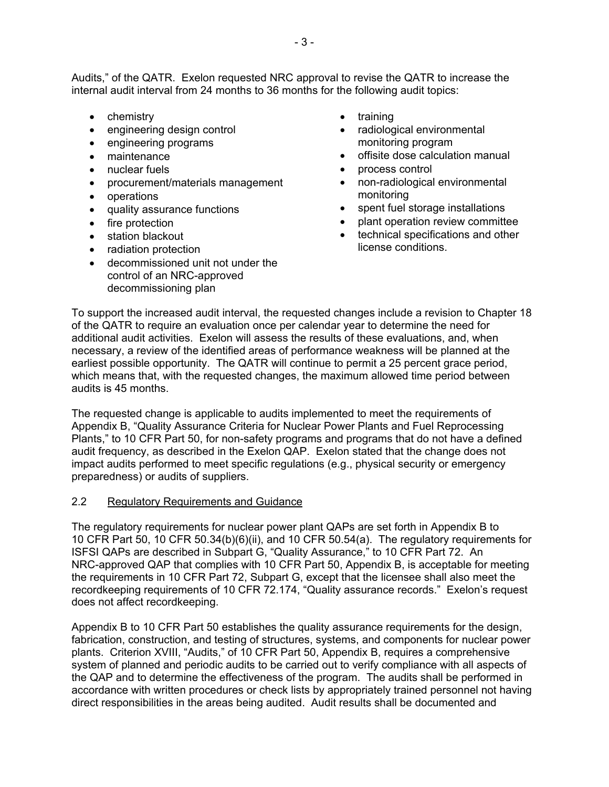Audits," of the QATR. Exelon requested NRC approval to revise the QATR to increase the internal audit interval from 24 months to 36 months for the following audit topics:

- chemistry
- engineering design control
- engineering programs
- maintenance
- nuclear fuels
- procurement/materials management
- operations
- quality assurance functions
- $\bullet$  fire protection
- station blackout
- radiation protection
- decommissioned unit not under the control of an NRC-approved decommissioning plan
- training
- radiological environmental monitoring program
- offisite dose calculation manual
- process control
- non-radiological environmental monitoring
- spent fuel storage installations
- plant operation review committee
- technical specifications and other license conditions.

To support the increased audit interval, the requested changes include a revision to Chapter 18 of the QATR to require an evaluation once per calendar year to determine the need for additional audit activities. Exelon will assess the results of these evaluations, and, when necessary, a review of the identified areas of performance weakness will be planned at the earliest possible opportunity. The QATR will continue to permit a 25 percent grace period, which means that, with the requested changes, the maximum allowed time period between audits is 45 months.

The requested change is applicable to audits implemented to meet the requirements of Appendix B, "Quality Assurance Criteria for Nuclear Power Plants and Fuel Reprocessing Plants," to 10 CFR Part 50, for non-safety programs and programs that do not have a defined audit frequency, as described in the Exelon QAP. Exelon stated that the change does not impact audits performed to meet specific regulations (e.g., physical security or emergency preparedness) or audits of suppliers.

#### 2.2 Regulatory Requirements and Guidance

The regulatory requirements for nuclear power plant QAPs are set forth in Appendix B to 10 CFR Part 50, 10 CFR 50.34(b)(6)(ii), and 10 CFR 50.54(a). The regulatory requirements for ISFSI QAPs are described in Subpart G, "Quality Assurance," to 10 CFR Part 72. An NRC-approved QAP that complies with 10 CFR Part 50, Appendix B, is acceptable for meeting the requirements in 10 CFR Part 72, Subpart G, except that the licensee shall also meet the recordkeeping requirements of 10 CFR 72.174, "Quality assurance records." Exelon's request does not affect recordkeeping.

Appendix B to 10 CFR Part 50 establishes the quality assurance requirements for the design, fabrication, construction, and testing of structures, systems, and components for nuclear power plants. Criterion XVIII, "Audits," of 10 CFR Part 50, Appendix B, requires a comprehensive system of planned and periodic audits to be carried out to verify compliance with all aspects of the QAP and to determine the effectiveness of the program. The audits shall be performed in accordance with written procedures or check lists by appropriately trained personnel not having direct responsibilities in the areas being audited. Audit results shall be documented and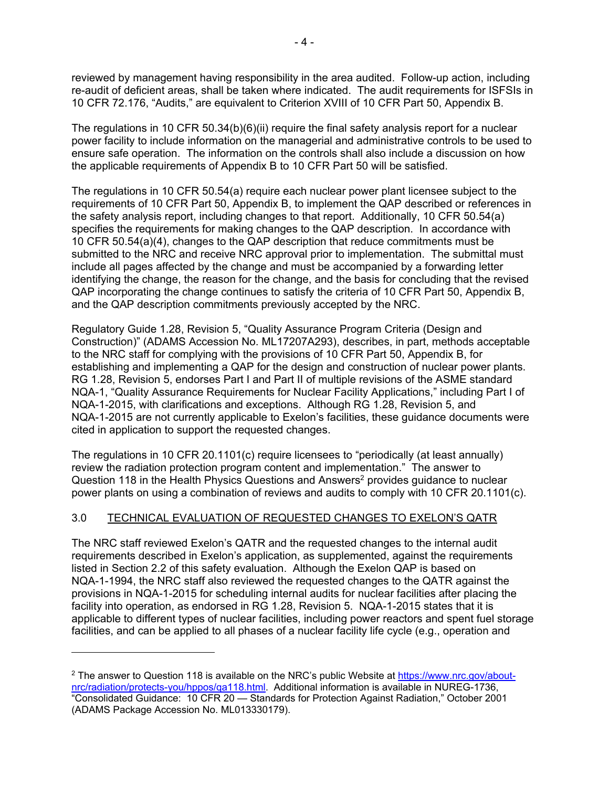reviewed by management having responsibility in the area audited. Follow-up action, including re-audit of deficient areas, shall be taken where indicated. The audit requirements for ISFSIs in 10 CFR 72.176, "Audits," are equivalent to Criterion XVIII of 10 CFR Part 50, Appendix B.

The regulations in 10 CFR 50.34(b)(6)(ii) require the final safety analysis report for a nuclear power facility to include information on the managerial and administrative controls to be used to ensure safe operation. The information on the controls shall also include a discussion on how the applicable requirements of Appendix B to 10 CFR Part 50 will be satisfied.

The regulations in 10 CFR 50.54(a) require each nuclear power plant licensee subject to the requirements of 10 CFR Part 50, Appendix B, to implement the QAP described or references in the safety analysis report, including changes to that report. Additionally, 10 CFR 50.54(a) specifies the requirements for making changes to the QAP description. In accordance with 10 CFR 50.54(a)(4), changes to the QAP description that reduce commitments must be submitted to the NRC and receive NRC approval prior to implementation. The submittal must include all pages affected by the change and must be accompanied by a forwarding letter identifying the change, the reason for the change, and the basis for concluding that the revised QAP incorporating the change continues to satisfy the criteria of 10 CFR Part 50, Appendix B, and the QAP description commitments previously accepted by the NRC.

Regulatory Guide 1.28, Revision 5, "Quality Assurance Program Criteria (Design and Construction)" (ADAMS Accession No. ML17207A293), describes, in part, methods acceptable to the NRC staff for complying with the provisions of 10 CFR Part 50, Appendix B, for establishing and implementing a QAP for the design and construction of nuclear power plants. RG 1.28, Revision 5, endorses Part I and Part II of multiple revisions of the ASME standard NQA-1, "Quality Assurance Requirements for Nuclear Facility Applications," including Part I of NQA-1-2015, with clarifications and exceptions. Although RG 1.28, Revision 5, and NQA-1-2015 are not currently applicable to Exelon's facilities, these guidance documents were cited in application to support the requested changes.

The regulations in 10 CFR 20.1101(c) require licensees to "periodically (at least annually) review the radiation protection program content and implementation." The answer to Question 118 in the Health Physics Questions and Answers<sup>2</sup> provides guidance to nuclear power plants on using a combination of reviews and audits to comply with 10 CFR 20.1101(c).

## 3.0 TECHNICAL EVALUATION OF REQUESTED CHANGES TO EXELON'S QATR

The NRC staff reviewed Exelon's QATR and the requested changes to the internal audit requirements described in Exelon's application, as supplemented, against the requirements listed in Section 2.2 of this safety evaluation. Although the Exelon QAP is based on NQA-1-1994, the NRC staff also reviewed the requested changes to the QATR against the provisions in NQA-1-2015 for scheduling internal audits for nuclear facilities after placing the facility into operation, as endorsed in RG 1.28, Revision 5. NQA-1-2015 states that it is applicable to different types of nuclear facilities, including power reactors and spent fuel storage facilities, and can be applied to all phases of a nuclear facility life cycle (e.g., operation and

<sup>&</sup>lt;sup>2</sup> The answer to Question 118 is available on the NRC's public Website at https://www.nrc.gov/aboutnrc/radiation/protects-you/hppos/qa118.html. Additional information is available in NUREG-1736, "Consolidated Guidance: 10 CFR 20 — Standards for Protection Against Radiation," October 2001 (ADAMS Package Accession No. ML013330179).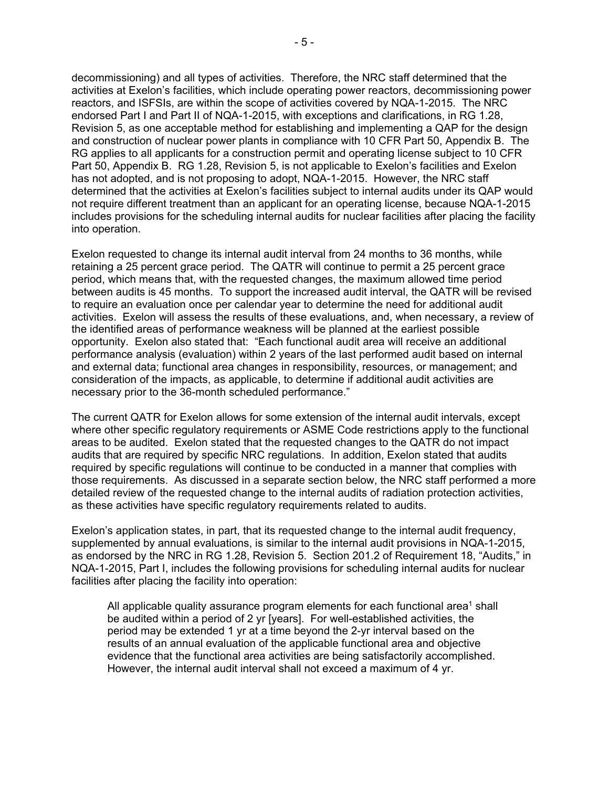decommissioning) and all types of activities. Therefore, the NRC staff determined that the activities at Exelon's facilities, which include operating power reactors, decommissioning power reactors, and ISFSIs, are within the scope of activities covered by NQA-1-2015. The NRC endorsed Part I and Part II of NQA-1-2015, with exceptions and clarifications, in RG 1.28, Revision 5, as one acceptable method for establishing and implementing a QAP for the design and construction of nuclear power plants in compliance with 10 CFR Part 50, Appendix B. The RG applies to all applicants for a construction permit and operating license subject to 10 CFR Part 50, Appendix B. RG 1.28, Revision 5, is not applicable to Exelon's facilities and Exelon has not adopted, and is not proposing to adopt, NQA-1-2015. However, the NRC staff determined that the activities at Exelon's facilities subject to internal audits under its QAP would not require different treatment than an applicant for an operating license, because NQA-1-2015 includes provisions for the scheduling internal audits for nuclear facilities after placing the facility into operation.

Exelon requested to change its internal audit interval from 24 months to 36 months, while retaining a 25 percent grace period. The QATR will continue to permit a 25 percent grace period, which means that, with the requested changes, the maximum allowed time period between audits is 45 months. To support the increased audit interval, the QATR will be revised to require an evaluation once per calendar year to determine the need for additional audit activities. Exelon will assess the results of these evaluations, and, when necessary, a review of the identified areas of performance weakness will be planned at the earliest possible opportunity. Exelon also stated that: "Each functional audit area will receive an additional performance analysis (evaluation) within 2 years of the last performed audit based on internal and external data; functional area changes in responsibility, resources, or management; and consideration of the impacts, as applicable, to determine if additional audit activities are necessary prior to the 36-month scheduled performance."

The current QATR for Exelon allows for some extension of the internal audit intervals, except where other specific regulatory requirements or ASME Code restrictions apply to the functional areas to be audited. Exelon stated that the requested changes to the QATR do not impact audits that are required by specific NRC regulations. In addition, Exelon stated that audits required by specific regulations will continue to be conducted in a manner that complies with those requirements. As discussed in a separate section below, the NRC staff performed a more detailed review of the requested change to the internal audits of radiation protection activities, as these activities have specific regulatory requirements related to audits.

Exelon's application states, in part, that its requested change to the internal audit frequency, supplemented by annual evaluations, is similar to the internal audit provisions in NQA-1-2015, as endorsed by the NRC in RG 1.28, Revision 5. Section 201.2 of Requirement 18, "Audits," in NQA-1-2015, Part I, includes the following provisions for scheduling internal audits for nuclear facilities after placing the facility into operation:

All applicable quality assurance program elements for each functional area<sup>1</sup> shall be audited within a period of 2 yr [years]. For well-established activities, the period may be extended 1 yr at a time beyond the 2-yr interval based on the results of an annual evaluation of the applicable functional area and objective evidence that the functional area activities are being satisfactorily accomplished. However, the internal audit interval shall not exceed a maximum of 4 yr.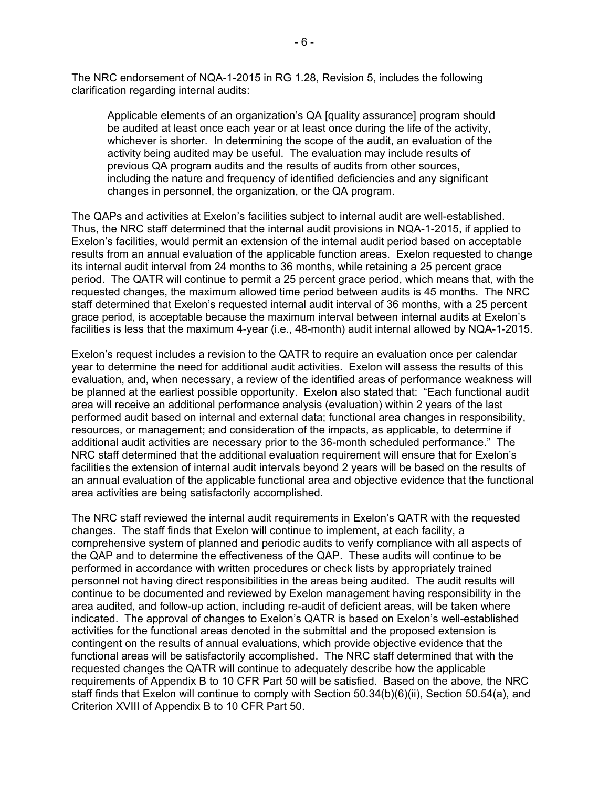The NRC endorsement of NQA-1-2015 in RG 1.28, Revision 5, includes the following clarification regarding internal audits:

Applicable elements of an organization's QA [quality assurance] program should be audited at least once each year or at least once during the life of the activity, whichever is shorter. In determining the scope of the audit, an evaluation of the activity being audited may be useful. The evaluation may include results of previous QA program audits and the results of audits from other sources, including the nature and frequency of identified deficiencies and any significant changes in personnel, the organization, or the QA program.

The QAPs and activities at Exelon's facilities subject to internal audit are well-established. Thus, the NRC staff determined that the internal audit provisions in NQA-1-2015, if applied to Exelon's facilities, would permit an extension of the internal audit period based on acceptable results from an annual evaluation of the applicable function areas. Exelon requested to change its internal audit interval from 24 months to 36 months, while retaining a 25 percent grace period. The QATR will continue to permit a 25 percent grace period, which means that, with the requested changes, the maximum allowed time period between audits is 45 months. The NRC staff determined that Exelon's requested internal audit interval of 36 months, with a 25 percent grace period, is acceptable because the maximum interval between internal audits at Exelon's facilities is less that the maximum 4-year (i.e., 48-month) audit internal allowed by NQA-1-2015.

Exelon's request includes a revision to the QATR to require an evaluation once per calendar year to determine the need for additional audit activities. Exelon will assess the results of this evaluation, and, when necessary, a review of the identified areas of performance weakness will be planned at the earliest possible opportunity. Exelon also stated that: "Each functional audit area will receive an additional performance analysis (evaluation) within 2 years of the last performed audit based on internal and external data; functional area changes in responsibility, resources, or management; and consideration of the impacts, as applicable, to determine if additional audit activities are necessary prior to the 36-month scheduled performance." The NRC staff determined that the additional evaluation requirement will ensure that for Exelon's facilities the extension of internal audit intervals beyond 2 years will be based on the results of an annual evaluation of the applicable functional area and objective evidence that the functional area activities are being satisfactorily accomplished.

The NRC staff reviewed the internal audit requirements in Exelon's QATR with the requested changes. The staff finds that Exelon will continue to implement, at each facility, a comprehensive system of planned and periodic audits to verify compliance with all aspects of the QAP and to determine the effectiveness of the QAP. These audits will continue to be performed in accordance with written procedures or check lists by appropriately trained personnel not having direct responsibilities in the areas being audited. The audit results will continue to be documented and reviewed by Exelon management having responsibility in the area audited, and follow-up action, including re-audit of deficient areas, will be taken where indicated. The approval of changes to Exelon's QATR is based on Exelon's well-established activities for the functional areas denoted in the submittal and the proposed extension is contingent on the results of annual evaluations, which provide objective evidence that the functional areas will be satisfactorily accomplished. The NRC staff determined that with the requested changes the QATR will continue to adequately describe how the applicable requirements of Appendix B to 10 CFR Part 50 will be satisfied. Based on the above, the NRC staff finds that Exelon will continue to comply with Section 50.34(b)(6)(ii), Section 50.54(a), and Criterion XVIII of Appendix B to 10 CFR Part 50.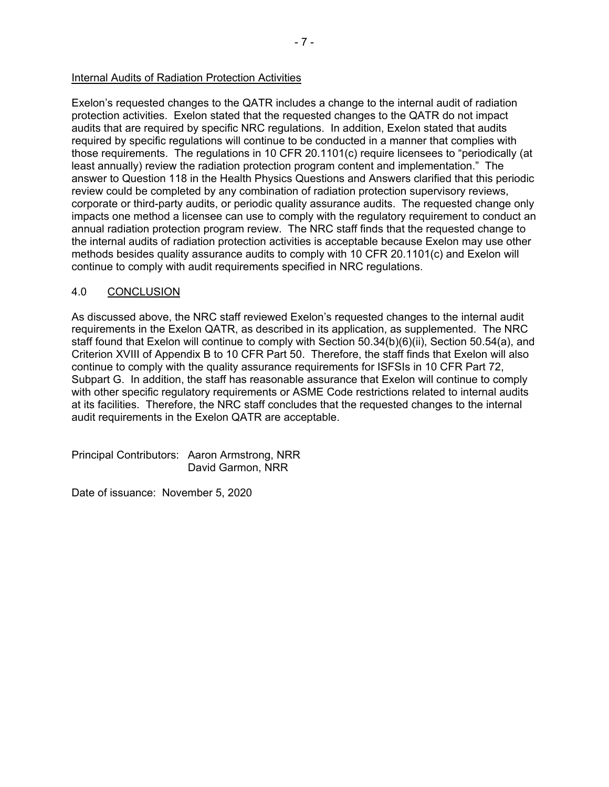#### Internal Audits of Radiation Protection Activities

Exelon's requested changes to the QATR includes a change to the internal audit of radiation protection activities. Exelon stated that the requested changes to the QATR do not impact audits that are required by specific NRC regulations. In addition, Exelon stated that audits required by specific regulations will continue to be conducted in a manner that complies with those requirements. The regulations in 10 CFR 20.1101(c) require licensees to "periodically (at least annually) review the radiation protection program content and implementation." The answer to Question 118 in the Health Physics Questions and Answers clarified that this periodic review could be completed by any combination of radiation protection supervisory reviews, corporate or third-party audits, or periodic quality assurance audits. The requested change only impacts one method a licensee can use to comply with the regulatory requirement to conduct an annual radiation protection program review. The NRC staff finds that the requested change to the internal audits of radiation protection activities is acceptable because Exelon may use other methods besides quality assurance audits to comply with 10 CFR 20.1101(c) and Exelon will continue to comply with audit requirements specified in NRC regulations.

#### 4.0 CONCLUSION

As discussed above, the NRC staff reviewed Exelon's requested changes to the internal audit requirements in the Exelon QATR, as described in its application, as supplemented. The NRC staff found that Exelon will continue to comply with Section 50.34(b)(6)(ii), Section 50.54(a), and Criterion XVIII of Appendix B to 10 CFR Part 50. Therefore, the staff finds that Exelon will also continue to comply with the quality assurance requirements for ISFSIs in 10 CFR Part 72, Subpart G. In addition, the staff has reasonable assurance that Exelon will continue to comply with other specific regulatory requirements or ASME Code restrictions related to internal audits at its facilities. Therefore, the NRC staff concludes that the requested changes to the internal audit requirements in the Exelon QATR are acceptable.

Principal Contributors: Aaron Armstrong, NRR David Garmon, NRR

Date of issuance: November 5, 2020